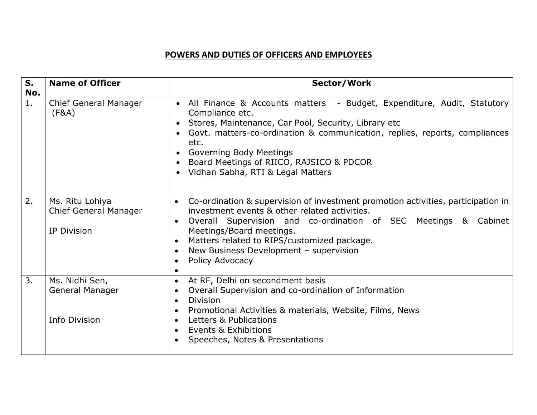## **POWERS AND DUTIES OF OFFICERS AND EMPLOYEES**

| S.<br>No. | <b>Name of Officer</b>                                                | Sector/Work                                                                                                                                                                                                                                                                                                                                                                                                   |
|-----------|-----------------------------------------------------------------------|---------------------------------------------------------------------------------------------------------------------------------------------------------------------------------------------------------------------------------------------------------------------------------------------------------------------------------------------------------------------------------------------------------------|
| 1.        | <b>Chief General Manager</b><br>(F&A)                                 | • All Finance & Accounts matters - Budget, Expenditure, Audit, Statutory<br>Compliance etc.<br>Stores, Maintenance, Car Pool, Security, Library etc<br>Govt. matters-co-ordination & communication, replies, reports, compliances<br>etc.<br><b>Governing Body Meetings</b><br>Board Meetings of RIICO, RAJSICO & PDCOR<br>$\bullet$<br>Vidhan Sabha, RTI & Legal Matters                                     |
| 2.        | Ms. Ritu Lohiya<br><b>Chief General Manager</b><br><b>IP Division</b> | Co-ordination & supervision of investment promotion activities, participation in<br>$\bullet$<br>investment events & other related activities.<br>Overall Supervision and co-ordination of SEC Meetings & Cabinet<br>Meetings/Board meetings.<br>Matters related to RIPS/customized package.<br>$\bullet$<br>New Business Development - supervision<br>$\bullet$<br>Policy Advocacy<br>$\bullet$<br>$\bullet$ |
| 3.        | Ms. Nidhi Sen,<br><b>General Manager</b><br>Info Division             | At RF, Delhi on secondment basis<br>$\bullet$<br>Overall Supervision and co-ordination of Information<br>$\bullet$<br><b>Division</b><br>$\bullet$<br>Promotional Activities & materials, Website, Films, News<br>$\bullet$<br>Letters & Publications<br>$\bullet$<br><b>Events &amp; Exhibitions</b><br>$\bullet$<br>Speeches, Notes & Presentations                                                         |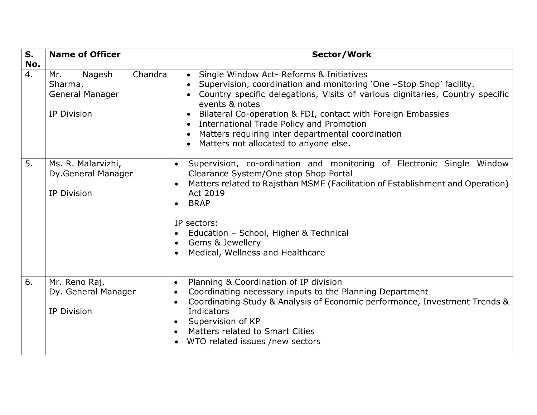| S.<br>No. | <b>Name of Officer</b>                                                       | Sector/Work                                                                                                                                                                                                                                                                                                                                                                                                                                                         |
|-----------|------------------------------------------------------------------------------|---------------------------------------------------------------------------------------------------------------------------------------------------------------------------------------------------------------------------------------------------------------------------------------------------------------------------------------------------------------------------------------------------------------------------------------------------------------------|
| 4.        | Chandra<br>Mr.<br>Nagesh<br>Sharma,<br>General Manager<br><b>IP Division</b> | Single Window Act- Reforms & Initiatives<br>$\bullet$<br>Supervision, coordination and monitoring 'One -Stop Shop' facility.<br>Country specific delegations, Visits of various dignitaries, Country specific<br>events & notes<br>Bilateral Co-operation & FDI, contact with Foreign Embassies<br>$\bullet$<br>International Trade Policy and Promotion<br>$\bullet$<br>Matters requiring inter departmental coordination<br>Matters not allocated to anyone else. |
| 5.        | Ms. R. Malarvizhi,<br>Dy.General Manager<br><b>IP Division</b>               | Supervision, co-ordination and monitoring of Electronic Single Window<br>$\bullet$<br>Clearance System/One stop Shop Portal<br>Matters related to Rajsthan MSME (Facilitation of Establishment and Operation)<br>Act 2019<br><b>BRAP</b><br>$\bullet$<br>IP sectors:<br>Education - School, Higher & Technical<br>Gems & Jewellery<br>$\bullet$<br>Medical, Wellness and Healthcare<br>$\bullet$                                                                    |
| 6.        | Mr. Reno Raj,<br>Dy. General Manager<br><b>IP Division</b>                   | Planning & Coordination of IP division<br>$\bullet$<br>Coordinating necessary inputs to the Planning Department<br>$\bullet$<br>Coordinating Study & Analysis of Economic performance, Investment Trends &<br>$\bullet$<br>Indicators<br>Supervision of KP<br>Matters related to Smart Cities<br>$\bullet$<br>WTO related issues /new sectors<br>$\bullet$                                                                                                          |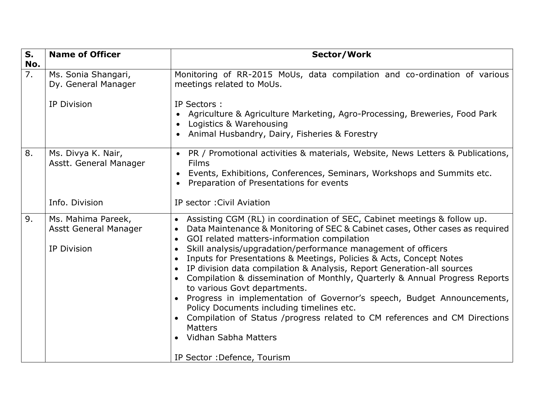| $S_{1}$<br>No. | <b>Name of Officer</b>                                                   | Sector/Work                                                                                                                                                                                                                                                                                                                                                                                                                                                                                                                                                                                                                                                                                                                                                                                                                                                                               |
|----------------|--------------------------------------------------------------------------|-------------------------------------------------------------------------------------------------------------------------------------------------------------------------------------------------------------------------------------------------------------------------------------------------------------------------------------------------------------------------------------------------------------------------------------------------------------------------------------------------------------------------------------------------------------------------------------------------------------------------------------------------------------------------------------------------------------------------------------------------------------------------------------------------------------------------------------------------------------------------------------------|
| 7.             | Ms. Sonia Shangari,<br>Dy. General Manager                               | Monitoring of RR-2015 MoUs, data compilation and co-ordination of various<br>meetings related to MoUs.                                                                                                                                                                                                                                                                                                                                                                                                                                                                                                                                                                                                                                                                                                                                                                                    |
|                | <b>IP Division</b>                                                       | IP Sectors:<br>Agriculture & Agriculture Marketing, Agro-Processing, Breweries, Food Park<br>Logistics & Warehousing<br>Animal Husbandry, Dairy, Fisheries & Forestry<br>$\bullet$                                                                                                                                                                                                                                                                                                                                                                                                                                                                                                                                                                                                                                                                                                        |
| 8.             | Ms. Divya K. Nair,<br>Asstt. General Manager                             | PR / Promotional activities & materials, Website, News Letters & Publications,<br><b>Films</b><br>Events, Exhibitions, Conferences, Seminars, Workshops and Summits etc.<br>Preparation of Presentations for events                                                                                                                                                                                                                                                                                                                                                                                                                                                                                                                                                                                                                                                                       |
|                | Info. Division                                                           | IP sector: Civil Aviation                                                                                                                                                                                                                                                                                                                                                                                                                                                                                                                                                                                                                                                                                                                                                                                                                                                                 |
| 9.             | Ms. Mahima Pareek,<br><b>Asstt General Manager</b><br><b>IP Division</b> | Assisting CGM (RL) in coordination of SEC, Cabinet meetings & follow up.<br>$\bullet$<br>Data Maintenance & Monitoring of SEC & Cabinet cases, Other cases as required<br>GOI related matters-information compilation<br>$\bullet$<br>Skill analysis/upgradation/performance management of officers<br>Inputs for Presentations & Meetings, Policies & Acts, Concept Notes<br>$\bullet$<br>IP division data compilation & Analysis, Report Generation-all sources<br>$\bullet$<br>Compilation & dissemination of Monthly, Quarterly & Annual Progress Reports<br>to various Govt departments.<br>Progress in implementation of Governor's speech, Budget Announcements,<br>$\bullet$<br>Policy Documents including timelines etc.<br>Compilation of Status /progress related to CM references and CM Directions<br><b>Matters</b><br>Vidhan Sabha Matters<br>IP Sector : Defence, Tourism |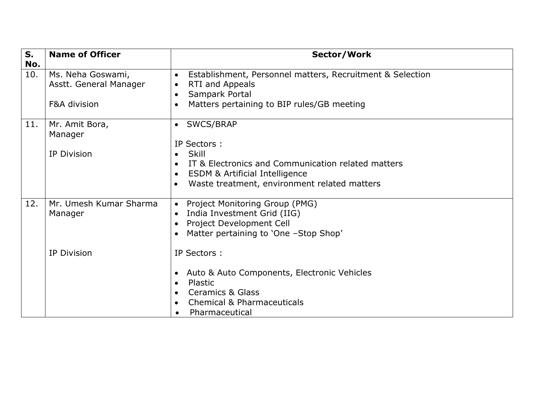| S.<br>No. | <b>Name of Officer</b>                          | Sector/Work                                                                                                                                                                                                                                                  |
|-----------|-------------------------------------------------|--------------------------------------------------------------------------------------------------------------------------------------------------------------------------------------------------------------------------------------------------------------|
| 10.       | Ms. Neha Goswami,<br>Asstt. General Manager     | Establishment, Personnel matters, Recruitment & Selection<br>$\bullet$<br>RTI and Appeals<br>$\bullet$<br>Sampark Portal<br>$\bullet$                                                                                                                        |
|           | F&A division                                    | Matters pertaining to BIP rules/GB meeting<br>$\bullet$                                                                                                                                                                                                      |
| 11.       | Mr. Amit Bora,<br>Manager<br><b>IP Division</b> | SWCS/BRAP<br>$\bullet$<br>IP Sectors:<br><b>Skill</b><br>$\bullet$<br>IT & Electronics and Communication related matters<br>$\bullet$<br><b>ESDM &amp; Artificial Intelligence</b><br>$\bullet$<br>Waste treatment, environment related matters<br>$\bullet$ |
| 12.       | Mr. Umesh Kumar Sharma<br>Manager               | Project Monitoring Group (PMG)<br>$\bullet$<br>India Investment Grid (IIG)<br>$\bullet$<br>Project Development Cell<br>$\bullet$<br>Matter pertaining to 'One -Stop Shop'<br>$\bullet$                                                                       |
|           | <b>IP Division</b>                              | IP Sectors :<br>Auto & Auto Components, Electronic Vehicles<br>$\bullet$<br>Plastic<br>$\bullet$<br><b>Ceramics &amp; Glass</b><br>$\bullet$<br><b>Chemical &amp; Pharmaceuticals</b><br>$\bullet$<br>Pharmaceutical                                         |